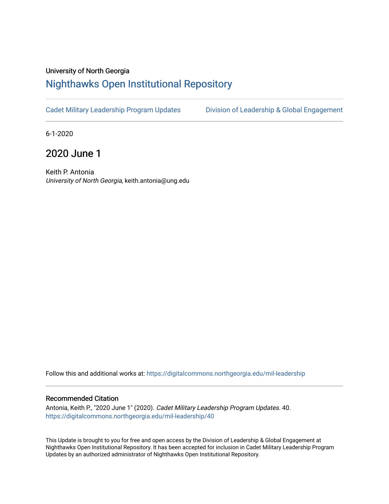## University of North Georgia

## [Nighthawks Open Institutional Repository](https://digitalcommons.northgeorgia.edu/)

[Cadet Military Leadership Program Updates](https://digitalcommons.northgeorgia.edu/mil-leadership) [Division of Leadership & Global Engagement](https://digitalcommons.northgeorgia.edu/leadership) 

6-1-2020

2020 June 1

Keith P. Antonia University of North Georgia, keith.antonia@ung.edu

Follow this and additional works at: [https://digitalcommons.northgeorgia.edu/mil-leadership](https://digitalcommons.northgeorgia.edu/mil-leadership?utm_source=digitalcommons.northgeorgia.edu%2Fmil-leadership%2F40&utm_medium=PDF&utm_campaign=PDFCoverPages) 

## Recommended Citation

Antonia, Keith P., "2020 June 1" (2020). Cadet Military Leadership Program Updates. 40. [https://digitalcommons.northgeorgia.edu/mil-leadership/40](https://digitalcommons.northgeorgia.edu/mil-leadership/40?utm_source=digitalcommons.northgeorgia.edu%2Fmil-leadership%2F40&utm_medium=PDF&utm_campaign=PDFCoverPages)

This Update is brought to you for free and open access by the Division of Leadership & Global Engagement at Nighthawks Open Institutional Repository. It has been accepted for inclusion in Cadet Military Leadership Program Updates by an authorized administrator of Nighthawks Open Institutional Repository.